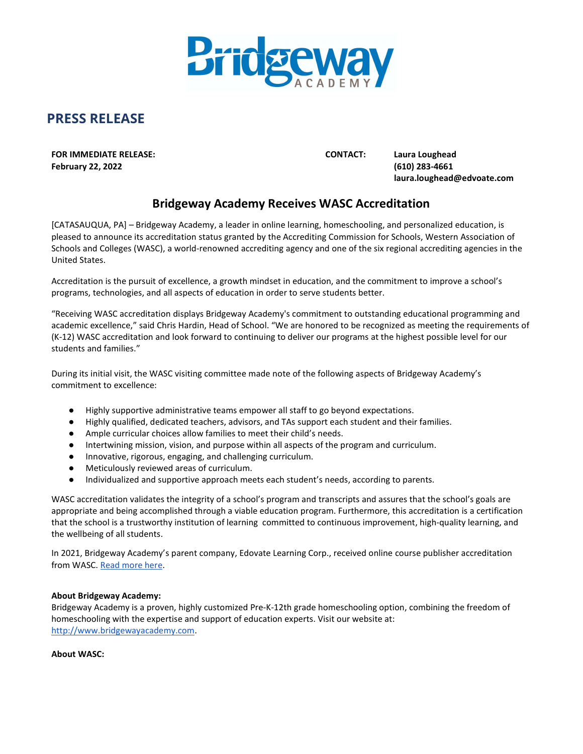

## PRESS RELEASE

FOR IMMEDIATE RELEASE: CONTACT: Laura Loughead February 22, 2022 (610) 283-4661

laura.loughead@edvoate.com

## Bridgeway Academy Receives WASC Accreditation

[CATASAUQUA, PA] – Bridgeway Academy, a leader in online learning, homeschooling, and personalized education, is pleased to announce its accreditation status granted by the Accrediting Commission for Schools, Western Association of Schools and Colleges (WASC), a world-renowned accrediting agency and one of the six regional accrediting agencies in the United States.

Accreditation is the pursuit of excellence, a growth mindset in education, and the commitment to improve a school's programs, technologies, and all aspects of education in order to serve students better.

"Receiving WASC accreditation displays Bridgeway Academy's commitment to outstanding educational programming and academic excellence," said Chris Hardin, Head of School. "We are honored to be recognized as meeting the requirements of (K-12) WASC accreditation and look forward to continuing to deliver our programs at the highest possible level for our students and families."

During its initial visit, the WASC visiting committee made note of the following aspects of Bridgeway Academy's commitment to excellence:

- Highly supportive administrative teams empower all staff to go beyond expectations.
- Highly qualified, dedicated teachers, advisors, and TAs support each student and their families.
- Ample curricular choices allow families to meet their child's needs.
- Intertwining mission, vision, and purpose within all aspects of the program and curriculum.
- Innovative, rigorous, engaging, and challenging curriculum.
- Meticulously reviewed areas of curriculum.
- Individualized and supportive approach meets each student's needs, according to parents.

WASC accreditation validates the integrity of a school's program and transcripts and assures that the school's goals are appropriate and being accomplished through a viable education program. Furthermore, this accreditation is a certification that the school is a trustworthy institution of learning committed to continuous improvement, high-quality learning, and the wellbeing of all students.

In 2021, Bridgeway Academy's parent company, Edovate Learning Corp., received online course publisher accreditation from WASC. Read more here.

## About Bridgeway Academy:

Bridgeway Academy is a proven, highly customized Pre-K-12th grade homeschooling option, combining the freedom of homeschooling with the expertise and support of education experts. Visit our website at: http://www.bridgewayacademy.com.

About WASC: